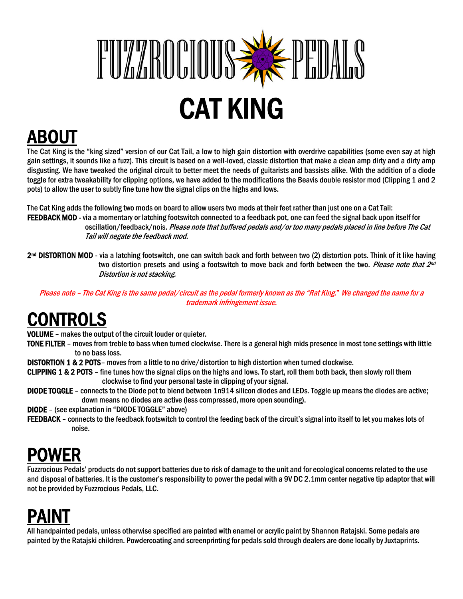

ABOUT<br>The Cat King is the "king sized" version of our Cat Tail, a low to high gain distortion with overdrive capabilities (some even say at high gain settings, it sounds like a fuzz). This circuit is based on a well-loved, classic distortion that make a clean amp dirty and a dirty amp disgusting. We have tweaked the original circuit to better meet the needs of guitarists and bassists alike. With the addition of a diode toggle for extra tweakability for clipping options, we have added to the modifications the Beavis double resistor mod (Clipping 1 and 2 pots) to allow the user to subtly fine tune how the signal clips on the highs and lows.

The Cat King adds the following two mods on board to allow users two mods at their feet rather than just one on a Cat Tail: FEEDBACK MOD - via a momentary or latching footswitch connected to a feedback pot, one can feed the signal back upon itself for oscillation/feedback/nois. Please note that buffered pedals and/or too many pedals placed in line before The Cat Tail will negate the feedback mod.

2nd DISTORTION MOD - via a latching footswitch, one can switch back and forth between two (2) distortion pots. Think of it like having two distortion presets and using a footswitch to move back and forth between the two. Please note that 2<sup>nd</sup> Distortion is not stacking.

Please note – The Cat King is the same pedal/circuit as the pedal formerly known as the "Rat King." We changed the name for a trademark infringement issue.

## CONTROLS

VOLUME – makes the output of the circuit louder or quieter.

- TONE FILTER moves from treble to bass when turned clockwise. There is a general high mids presence in most tone settings with little to no bass loss.
- DISTORTION 1 & 2 POTS– moves from a little to no drive/distortion to high distortion when turned clockwise.
- CLIPPING 1 & 2 POTS fine tunes how the signal clips on the highs and lows. To start, roll them both back, then slowly roll them clockwise to find your personal taste in clipping of your signal.
- DIODE TOGGLE connects to the Diode pot to blend between 1n914 silicon diodes and LEDs. Toggle up means the diodes are active; down means no diodes are active (less compressed, more open sounding).
- DIODE (see explanation in "DIODE TOGGLE" above)
- FEEDBACK connects to the feedback footswitch to control the feeding back of the circuit's signal into itself to let you makes lots of noise.

## POWER

Fuzzrocious Pedals' products do not support batteries due to risk of damage to the unit and for ecological concerns related to the use and disposal of batteries. It is the customer's responsibility to power the pedal with a 9V DC 2.1mm center negative tip adaptor that will not be provided by Fuzzrocious Pedals, LLC.

PAINT<br>All handpainted pedals, unless otherwise specified are painted with enamel or acrylic paint by Shannon Ratajski. Some pedals are painted by the Ratajski children. Powdercoating and screenprinting for pedals sold through dealers are done locally by Juxtaprints.